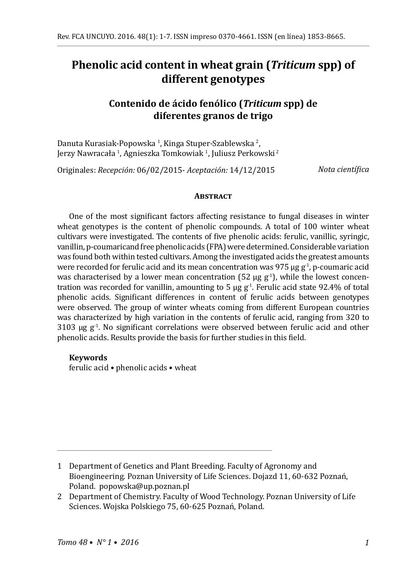# **Phenolic acid content in wheat grain (***Triticum* **spp) of different genotypes**

# **Contenido de ácido fenólico (***Triticum* **spp) de diferentes granos de trigo**

Danuta Kurasiak-Popowska <sup>1</sup>, Kinga Stuper-Szablewska <sup>2</sup>, Jerzy Nawracała <sup>I</sup>, Agnieszka Tomkowiak <sup>I</sup>, Juliusz Perkowski <del>'</del>

Originales: *Recepción:* 06/02/2015- *Aceptación:* 14/12/2015

*Nota científica*

#### **Abstract**

One of the most significant factors affecting resistance to fungal diseases in winter wheat genotypes is the content of phenolic compounds. A total of 100 winter wheat cultivars were investigated. The contents of five phenolic acids: ferulic, vanillic, syringic, vanillin, p-coumaricand free phenolic acids (FPA) were determined. Considerable variation was found both within tested cultivars. Among the investigated acids the greatest amounts were recorded for ferulic acid and its mean concentration was 975  $\mu$ g g<sup>-1</sup>, p-coumaric acid was characterised by a lower mean concentration (52  $\mu$ g g<sup>-1</sup>), while the lowest concentration was recorded for vanillin, amounting to 5  $\mu$ g g<sup>-1</sup>. Ferulic acid state 92.4% of total phenolic acids. Significant differences in content of ferulic acids between genotypes were observed. The group of winter wheats coming from different European countries was characterized by high variation in the contents of ferulic acid, ranging from 320 to  $3103$  µg g<sup>-1</sup>. No significant correlations were observed between ferulic acid and other phenolic acids. Results provide the basis for further studies in this field.

### **Keywords**

ferulic acid • phenolic acids • wheat

<sup>1</sup> Department of Genetics and Plant Breeding. Faculty of Agronomy and Bioengineering. Poznan University of Life Sciences. Dojazd 11, 60-632 Poznań, Poland. popowska@up.poznan.pl

<sup>2</sup> Department of Chemistry. Faculty of Wood Technology. Poznan University of Life Sciences. Wojska Polskiego 75, 60-625 Poznań, Poland.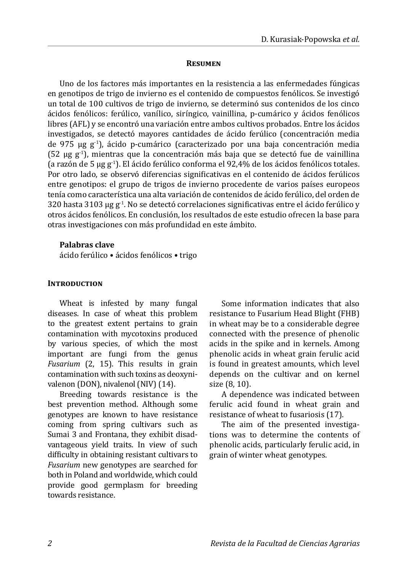#### **Resumen**

Uno de los factores más importantes en la resistencia a las enfermedades fúngicas en genotipos de trigo de invierno es el contenido de compuestos fenólicos. Se investigó un total de 100 cultivos de trigo de invierno, se determinó sus contenidos de los cinco ácidos fenólicos: ferúlico, vanílico, siríngico, vainillina, p-cumárico y ácidos fenólicos libres (AFL) y se encontró una variación entre ambos cultivos probados. Entre los ácidos investigados, se detectó mayores cantidades de ácido ferúlico (concentración media de 975 µg  $g^{-1}$ ), ácido p-cumárico (caracterizado por una baja concentración media  $(52 \text{ µg g}^{-1})$ , mientras que la concentración más baja que se detectó fue de vainillina (a razón de 5 µg g-1). El ácido ferúlico conforma el 92,4% de los ácidos fenólicos totales. Por otro lado, se observó diferencias significativas en el contenido de ácidos ferúlicos entre genotipos: el grupo de trigos de invierno procedente de varios países europeos tenía como característica una alta variación de contenidos de ácido ferúlico, del orden de  $320$  hasta  $3103$  ug g<sup>-1</sup>. No se detectó correlaciones significativas entre el ácido ferúlico y otros ácidos fenólicos. En conclusión, los resultados de este estudio ofrecen la base para otras investigaciones con más profundidad en este ámbito.

## **Palabras clave**

ácido ferúlico • ácidos fenólicos • trigo

#### **INTRODUCTION**

Wheat is infested by many fungal diseases. In case of wheat this problem to the greatest extent pertains to grain contamination with mycotoxins produced by various species, of which the most important are fungi from the genus *Fusarium* (2, 15). This results in grain contamination with such toxins as deoxynivalenon (DON), nivalenol (NIV) (14).

Breeding towards resistance is the best prevention method. Although some genotypes are known to have resistance coming from spring cultivars such as Sumai 3 and Frontana, they exhibit disadvantageous yield traits. In view of such difficulty in obtaining resistant cultivars to *Fusarium* new genotypes are searched for both in Poland and worldwide, which could provide good germplasm for breeding towards resistance.

Some information indicates that also resistance to Fusarium Head Blight (FHB) in wheat may be to a considerable degree connected with the presence of phenolic acids in the spike and in kernels. Among phenolic acids in wheat grain ferulic acid is found in greatest amounts, which level depends on the cultivar and on kernel size (8, 10).

A dependence was indicated between ferulic acid found in wheat grain and resistance of wheat to fusariosis (17).

The aim of the presented investigations was to determine the contents of phenolic acids, particularly ferulic acid, in grain of winter wheat genotypes.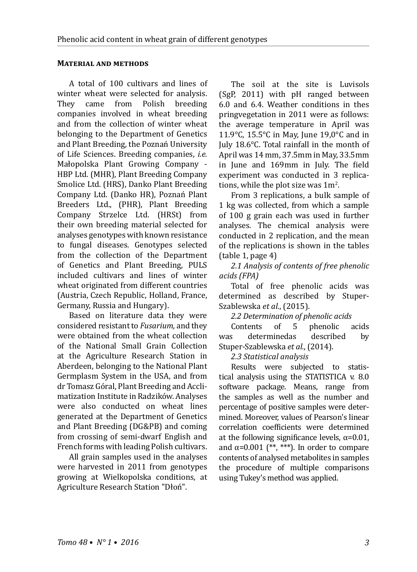# **Material and methods**

A total of 100 cultivars and lines of winter wheat were selected for analysis.<br>They came from Polish breeding They came from Polish companies involved in wheat breeding and from the collection of winter wheat belonging to the Department of Genetics and Plant Breeding, the Poznań University of Life Sciences. Breeding companies, *i.e.*  Małopolska Plant Growing Company - HBP Ltd. (MHR), Plant Breeding Company Smolice Ltd. (HRS), Danko Plant Breeding Company Ltd. (Danko HR), Poznań Plant Breeders Ltd., (PHR), Plant Breeding Company Strzelce Ltd. (HRSt) from their own breeding material selected for analyses genotypes with known resistance to fungal diseases. Genotypes selected from the collection of the Department of Genetics and Plant Breeding, PULS included cultivars and lines of winter wheat originated from different countries (Austria, Czech Republic, Holland, France, Germany, Russia and Hungary).

Based on literature data they were considered resistant to *Fusarium,* and they were obtained from the wheat collection of the National Small Grain Collection at the Agriculture Research Station in Aberdeen, belonging to the National Plant Germplasm System in the USA, and from dr Tomasz Góral, Plant Breeding and Acclimatization Institute in Radzików. Analyses were also conducted on wheat lines generated at the Department of Genetics and Plant Breeding (DG&PB) and coming from crossing of semi-dwarf English and French forms with leading Polish cultivars.

All grain samples used in the analyses were harvested in 2011 from genotypes growing at Wielkopolska conditions, at Agriculture Research Station "Dłoń".

The soil at the site is Luvisols (SgP, 2011) with pH ranged between 6.0 and 6.4. Weather conditions in thes pringvegetation in 2011 were as follows: the average temperature in April was 11.9°C, 15.5°C in May, June 19,0°C and in July 18.6°C. Total rainfall in the month of April was 14 mm, 37.5mm in May, 33.5mm in June and 169mm in July. The field experiment was conducted in 3 replications, while the plot size was  $1m<sup>2</sup>$ .

From 3 replications, a bulk sample of 1 kg was collected, from which a sample of 100 g grain each was used in further analyses. The chemical analysis were conducted in 2 replication, and the mean of the replications is shown in the tables (table 1, page 4)

*2.1 Analysis of contents of free phenolic acids (FPA)*

Total of free phenolic acids was determined as described by Stuper-Szablewska *et al*., (2015).

# *2.2 Determination of phenolic acids*

Contents of 5 phenolic acids<br>was determinedas described by determinedas Stuper-Szablewska *et al.*, (2014).

*2.3 Statistical analysis*

Results were subjected to statistical analysis using the STATISTICA v. 8.0 software package. Means, range from the samples as well as the number and percentage of positive samples were determined. Moreover, values of Pearson's linear correlation coefficients were determined at the following significance levels,  $\alpha$ =0.01, and  $\alpha$ =0.001 (\*\*, \*\*\*). In order to compare contents of analysed metabolites in samples the procedure of multiple comparisons using Tukey's method was applied.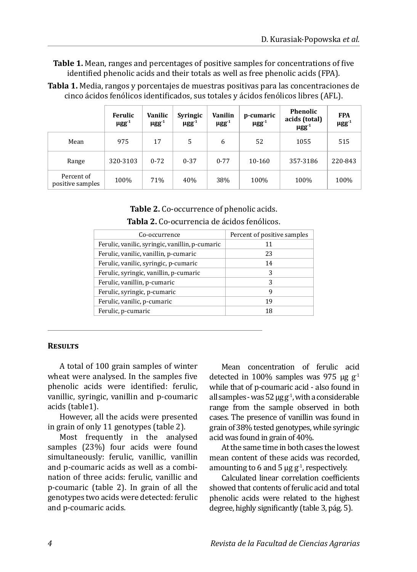**Table 1.** Mean, ranges and percentages of positive samples for concentrations of five identified phenolic acids and their totals as well as free phenolic acids (FPA).

|                                | Ferulic<br>$\mu$ gg <sup>-1</sup> | Vanilic<br>$\mu$ gg <sup>-1</sup> | Syringic<br>$\mu$ gg <sup>-1</sup> | Vanilin<br>$\mu$ gg <sup>-1</sup> | p-cumaric<br>$\mu$ gg <sup>-1</sup> | <b>Phenolic</b><br>acids (total)<br>$\mu$ gg <sup>-1</sup> | <b>FPA</b><br>$\mu$ gg <sup>-1</sup> |
|--------------------------------|-----------------------------------|-----------------------------------|------------------------------------|-----------------------------------|-------------------------------------|------------------------------------------------------------|--------------------------------------|
| Mean                           | 975                               | 17                                | 5                                  | 6                                 | 52                                  | 1055                                                       | 515                                  |
| Range                          | 320-3103                          | $0 - 72$                          | $0 - 37$                           | $0 - 77$                          | 10-160                              | 357-3186                                                   | 220-843                              |
| Percent of<br>positive samples | 100%                              | 71%                               | 40%                                | 38%                               | 100%                                | 100%                                                       | 100%                                 |

**Tabla 1.** Media, rangos y porcentajes de muestras positivas para las concentraciones de cinco ácidos fenólicos identificados, sus totales y ácidos fenólicos libres (AFL).

> **Table 2.** Co-occurrence of phenolic acids. **Tabla 2.** Co-ocurrencia de ácidos fenólicos.

| Co-occurrence                                   | Percent of positive samples |  |  |
|-------------------------------------------------|-----------------------------|--|--|
| Ferulic, vanilic, syringic, vanillin, p-cumaric | 11                          |  |  |
| Ferulic, vanilic, vanillin, p-cumaric           | 23                          |  |  |
| Ferulic, vanilic, syringic, p-cumaric           | 14                          |  |  |
| Ferulic, syringic, vanillin, p-cumaric          | 3                           |  |  |
| Ferulic, vanillin, p-cumaric                    | 3                           |  |  |
| Ferulic, syringic, p-cumaric                    | 9                           |  |  |
| Ferulic, vanilic, p-cumaric                     | 19                          |  |  |
| Ferulic, p-cumaric                              | 18                          |  |  |
|                                                 |                             |  |  |

# **Results**

A total of 100 grain samples of winter wheat were analysed. In the samples five phenolic acids were identified: ferulic, vanillic, syringic, vanillin and p-coumaric acids (table1).

However, all the acids were presented in grain of only 11 genotypes (table 2).

Most frequently in the analysed samples (23%) four acids were found simultaneously: ferulic, vanillic, vanillin and p-coumaric acids as well as a combination of three acids: ferulic, vanillic and p-coumaric (table 2). In grain of all the genotypes two acids were detected: ferulic and p-coumaric acids.

Mean concentration of ferulic acid detected in 100% samples was 975 μg  $g^{-1}$ while that of p-coumaric acid - also found in all samples - was  $52 \mu g g^{-1}$ , with a considerable range from the sample observed in both cases. The presence of vanillin was found in grain of 38% tested genotypes, while syringic acid was found in grain of 40%.

At the same time in both cases the lowest mean content of these acids was recorded, amounting to 6 and 5  $\mu$ g g<sup>-1</sup>, respectively.

Calculated linear correlation coefficients showed that contents of ferulic acid and total phenolic acids were related to the highest degree, highly significantly (table 3, pág. 5).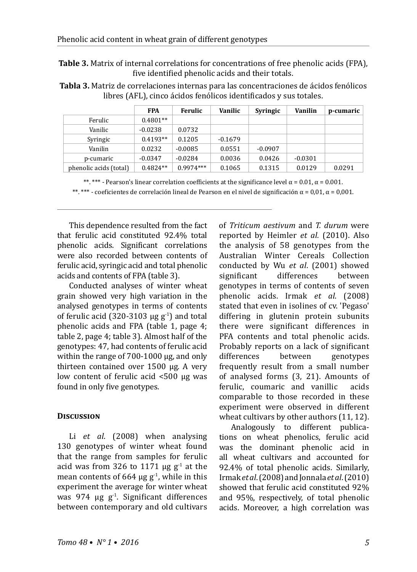**Table 3.** Matrix of internal correlations for concentrations of free phenolic acids (FPA), five identified phenolic acids and their totals.

**Tabla 3.** Matriz de correlaciones internas para las concentraciones de ácidos fenólicos libres (AFL), cinco ácidos fenólicos identificados y sus totales.

|                        | <b>FPA</b> | Ferulic     | Vanilic   | Syringic  | <b>Vanilin</b> | p-cumaric |
|------------------------|------------|-------------|-----------|-----------|----------------|-----------|
| Ferulic                | $0.4801**$ |             |           |           |                |           |
| Vanilic                | $-0.0238$  | 0.0732      |           |           |                |           |
| Syringic               | $0.4193**$ | 0.1205      | $-0.1679$ |           |                |           |
| Vanilin                | 0.0232     | $-0.0085$   | 0.0551    | $-0.0907$ |                |           |
| p-cumaric              | $-0.0347$  | $-0.0284$   | 0.0036    | 0.0426    | $-0.0301$      |           |
| phenolic acids (total) | $0.4824**$ | $0.9974***$ | 0.1065    | 0.1315    | 0.0129         | 0.0291    |

\*\*. \*\*\* - Pearson's linear correlation coefficients at the significance level  $\alpha$  = 0.01,  $\alpha$  = 0.001. \*\*. \*\*\* - coeficientes de correlación lineal de Pearson en el nivel de significación α = 0,01, α = 0,001.

This dependence resulted from the fact that ferulic acid constituted 92.4% total phenolic acids. Significant correlations were also recorded between contents of ferulic acid, syringic acid and total phenolic acids and contents of FPA (table 3).

Conducted analyses of winter wheat grain showed very high variation in the analysed genotypes in terms of contents of ferulic acid (320-3103  $\mu$ g g<sup>-1</sup>) and total phenolic acids and FPA (table 1, page 4; table 2, page 4; table 3). Almost half of the genotypes: 47, had contents of ferulic acid within the range of 700-1000 µg, and only thirteen contained over 1500 µg. A very low content of ferulic acid <500 µg was found in only five genotypes.

# **Discussion**

Li *et al*. (2008) when analysing 130 genotypes of winter wheat found that the range from samples for ferulic acid was from 326 to 1171  $\mu$ g g<sup>-1</sup> at the mean contents of 664  $\mu$ g g<sup>-1</sup>, while in this experiment the average for winter wheat was 974  $\mu$ g g<sup>-1</sup>. Significant differences between contemporary and old cultivars of *Triticum aestivum* and *T. durum* were reported by Heimler *et al.* (2010). Also the analysis of 58 genotypes from the Australian Winter Cereals Collection conducted by Wu *et al*. (2001) showed significant differences between genotypes in terms of contents of seven phenolic acids. Irmak *et al*. (2008) stated that even in isolines of cv. 'Pegaso' differing in glutenin protein subunits there were significant differences in PFA contents and total phenolic acids. Probably reports on a lack of significant<br>differences between genotypes differences between genotypes frequently result from a small number of analysed forms (3, 21). Amounts of<br>ferulic. coumaric and vanillic acids ferulic, coumaric and vanillic comparable to those recorded in these experiment were observed in different wheat cultivars by other authors (11, 12).

Analogously to different publications on wheat phenolics, ferulic acid was the dominant phenolic acid in all wheat cultivars and accounted for 92.4% of total phenolic acids. Similarly, Irmak*etal*.(2008) and Jonnala *et al*. (2010) showed that ferulic acid constituted 92% and 95%, respectively, of total phenolic acids. Moreover, a high correlation was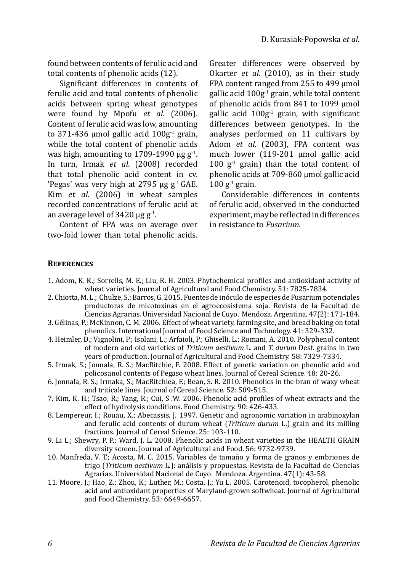found between contents of ferulic acid and total contents of phenolic acids (12).

Significant differences in contents of ferulic acid and total contents of phenolic acids between spring wheat genotypes were found by Mpofu *et al*. (2006). Content of ferulic acid was low, amounting to 371-436 µmol gallic acid  $100g<sup>-1</sup>$  grain. while the total content of phenolic acids was high, amounting to 1709-1990  $\mu$ g g<sup>-1</sup>. In turn, Irmak *et al*. (2008) recorded that total phenolic acid content in cv. 'Pegas' was very high at 2795  $\mu$ g g<sup>-1</sup> GAE. Kim *et al*. (2006) in wheat samples recorded concentrations of ferulic acid at an average level of  $3420 \text{ µg g}^{-1}$ .

Content of FPA was on average over two-fold lower than total phenolic acids. Greater differences were observed by Okarter *et al*. (2010), as in their study FPA content ranged from 255 to 499 µmol gallic acid  $100g^{-1}$  grain, while total content of phenolic acids from 841 to 1099 µmol gallic acid  $100g<sup>-1</sup>$  grain, with significant differences between genotypes. In the analyses performed on 11 cultivars by Adom *et al*. (2003), FPA content was much lower (119-201 umol gallic acid 100  $g^{-1}$  grain) than the total content of phenolic acids at 709-860 µmol gallic acid  $100$  g<sup>-1</sup> grain.

Considerable differences in contents of ferulic acid, observed in the conducted experiment, may be reflected in differences in resistance to *Fusarium.*

#### **References**

- 1. Adom, K. K.; Sorrells, M. E.; Liu, R. H. 2003. Phytochemical profiles and antioxidant activity of wheat varieties. Journal of Agricultural and Food Chemistry. 51: 7825-7834.
- 2. Chiotta, M. L.; Chulze, S.; Barros, G. 2015. Fuentes de inóculo de especies de Fusarium potenciales productoras de micotoxinas en el agroecosistema soja. Revista de la Facultad de Ciencias Agrarias. Universidad Nacional de Cuyo. Mendoza. Argentina. 47(2): 171-184.
- 3. Gélinas, P.; McKinnon, C. M. 2006. Effect of wheat variety, farming site, and bread baking on total phenolics. International Journal of Food Science and Technology. 41: 329-332.
- 4. Heimler, D.; Vignolini, P.; Isolani, L.; Arfaioli, P.; Ghiselli, L.; Romani, A. 2010. Polyphenol content of modern and old varieties of *Triticum aestivum* L. and *T. durum* Desf. grains in two years of production. Journal of Agricultural and Food Chemistry. 58: 7329-7334.
- 5. Irmak, S.; Jonnala, R. S.; MacRitchie, F. 2008. Effect of genetic variation on phenolic acid and policosanol contents of Pegaso wheat lines. Journal of Cereal Science. 48: 20-26.
- 6. Jonnala, R. S.; Irmaka, S.; MacRitchiea, F.; Bean, S. R. 2010. Phenolics in the bran of waxy wheat and triticale lines. Journal of Cereal Science. 52: 509-515.
- 7. Kim, K. H.; Tsao, R.; Yang, R.; Cui, S .W. 2006. Phenolic acid profiles of wheat extracts and the effect of hydrolysis conditions. Food Chemistry. 90: 426-433.
- 8. Lempereur, I.; Rouau, X.; Abecassis, J. 1997. Genetic and agronomic variation in arabinoxylan and ferulic acid contents of durum wheat (*Triticum durum* L.) grain and its milling fractions. Journal of Cereal Science. 25: 103-110.
- 9. Li L.; Shewry, P. P.; Ward, J. L. 2008. Phenolic acids in wheat varieties in the HEALTH GRAIN diversity screen. Journal of Agricultural and Food. 56: 9732-9739.
- 10. Manfreda, V. T.; Acosta, M. C. 2015. Variables de tamaño y forma de granos y embriones de trigo (*Triticum aestivum* L.): análisis y propuestas. Revista de la Facultad de Ciencias Agrarias. Universidad Nacional de Cuyo. Mendoza. Argentina. 47(1): 43-58.
- 11. Moore, J.; Hao, Z.; Zhou, K.; Luther, M.; Costa, J.; Yu L. 2005. Carotenoid, tocopherol, phenolic acid and antioxidant properties of Maryland-grown softwheat. Journal of Agricultural and Food Chemistry. 53: 6649-6657.